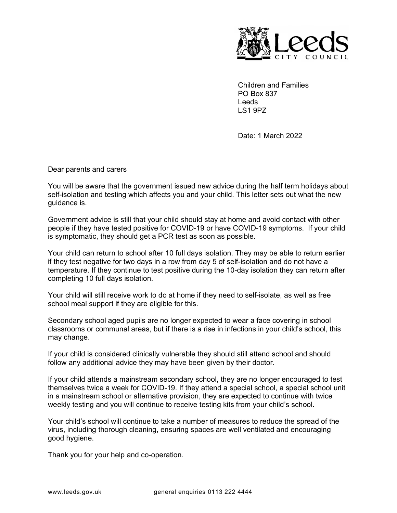

Children and Families PO Box 837 Leeds LS1 9PZ

Date: 1 March 2022

Dear parents and carers

You will be aware that the government issued new advice during the half term holidays about self-isolation and testing which affects you and your child. This letter sets out what the new guidance is.

Government advice is still that your child should stay at home and avoid contact with other people if they have tested positive for COVID-19 or have COVID-19 symptoms. If your child is symptomatic, they should get a PCR test as soon as possible.

Your child can return to school after 10 full days isolation. They may be able to return earlier if they test negative for two days in a row from day 5 of self-isolation and do not have a temperature. If they continue to test positive during the 10-day isolation they can return after completing 10 full days isolation.

Your child will still receive work to do at home if they need to self-isolate, as well as free school meal support if they are eligible for this.

Secondary school aged pupils are no longer expected to wear a face covering in school classrooms or communal areas, but if there is a rise in infections in your child's school, this may change.

If your child is considered clinically vulnerable they should still attend school and should follow any additional advice they may have been given by their doctor.

If your child attends a mainstream secondary school, they are no longer encouraged to test themselves twice a week for COVID-19. If they attend a special school, a special school unit in a mainstream school or alternative provision, they are expected to continue with twice weekly testing and you will continue to receive testing kits from your child's school.

Your child's school will continue to take a number of measures to reduce the spread of the virus, including thorough cleaning, ensuring spaces are well ventilated and encouraging good hygiene.

Thank you for your help and co-operation.